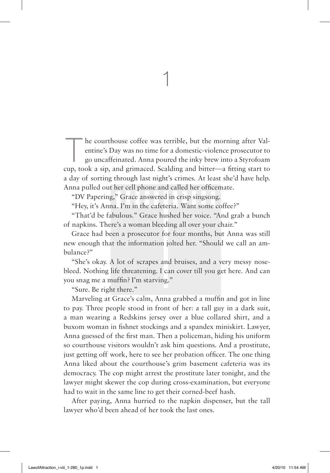The courthouse coffee was terrible, but the morning after Valentine's Day was no time for a domestic-violence prosecutor to go uncaffeinated. Anna poured the inky brew into a Styrofoam entine's Day was no time for a domestic-violence prosecutor to go uncaffeinated. Anna poured the inky brew into a Styrofoam cup, took a sip, and grimaced. Scalding and bitter—a fitting start to a day of sorting through last night's crimes. At least she'd have help. Anna pulled out her cell phone and called her officemate.

"DV Papering," Grace answered in crisp singsong.

"Hey, it's Anna. I'm in the cafeteria. Want some coffee?"

"That'd be fabulous." Grace hushed her voice. "And grab a bunch of napkins. There's a woman bleeding all over your chair."

Grace had been a prosecutor for four months, but Anna was still new enough that the information jolted her. "Should we call an ambulance?" fundamental contracts. The least<br>ther cell phone and called her officen<br>g," Grace answered in crisp singsong.<br>na. I'm in the cafeteria. Want some co<br>bulous." Grace hushed her voice. "A<br>re's a woman bleeding all over your c

"She's okay. A lot of scrapes and bruises, and a very messy nosebleed. Nothing life threatening. I can cover till you get here. And can you snag me a muffin? I'm starving."

"Sure. Be right there."

Marveling at Grace's calm, Anna grabbed a muffin and got in line to pay. Three people stood in front of her: a tall guy in a dark suit, a man wearing a Redskins jersey over a blue collared shirt, and a buxom woman in fishnet stockings and a spandex miniskirt. Lawyer, Anna guessed of the first man. Then a policeman, hiding his uniform so courthouse visitors wouldn't ask him questions. And a prostitute, just getting off work, here to see her probation officer. The one thing Anna liked about the courthouse's grim basement cafeteria was its democracy. The cop might arrest the prostitute later tonight, and the lawyer might skewer the cop during cross-examination, but everyone had to wait in the same line to get their corned-beef hash.

After paying, Anna hurried to the napkin dispenser, but the tall lawyer who'd been ahead of her took the last ones.

1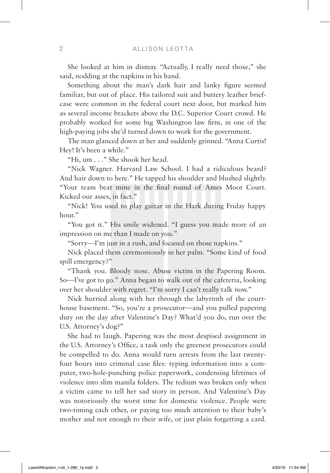She looked at him in dismay. "Actually, I really need those," she said, nodding at the napkins in his hand.

Something about the man's dark hair and lanky figure seemed familiar, but out of place. His tailored suit and buttery leather briefcase were common in the federal court next door, but marked him as several income brackets above the D.C. Superior Court crowd. He probably worked for some big Washington law firm, in one of the high-paying jobs she'd turned down to work for the government.

The man glanced down at her and suddenly grinned. "Anna Curtis! Hey! It's been a while."

"Hi, um . . ." She shook her head.

"Nick Wagner. Harvard Law School. I had a ridiculous beard? And hair down to here." He tapped his shoulder and blushed slightly. "Your team beat mine in the final round of Ames Moot Court. Kicked our asses, in fact."

"Nick! You used to play guitar in the Hark during Friday happy hour."

"You got it." His smile widened. "I guess you made more of an impression on me than I made on you."

"Sorry—I'm just in a rush, and focused on those napkins."

Nick placed them ceremoniously in her palm. "Some kind of food spill emergency?"

"Thank you. Bloody nose. Abuse victim in the Papering Room. So—I've got to go." Anna began to walk out of the cafeteria, looking over her shoulder with regret. "I'm sorry I can't really talk now." of the final round of Ames<br>in fact."<br>ed to play guitar in the Hark during<br>His smile widened. "I guess you ma<br>ethan I made on you."<br>ast in a rush, and focused on those na<br>nem ceremoniously in her palm. "Som<br>Bloody nose. Abu

Nick hurried along with her through the labyrinth of the courthouse basement. "So, you're a prosecutor—and you pulled papering duty on the day after Valentine's Day? What'd you do, run over the U.S. Attorney's dog?"

She had to laugh. Papering was the most despised assignment in the U.S. Attorney's Office, a task only the greenest prosecutors could be compelled to do. Anna would turn arrests from the last twentyfour hours into criminal case files: typing information into a computer, two-hole-punching police paperwork, condensing lifetimes of violence into slim manila folders. The tedium was broken only when a victim came to tell her sad story in person. And Valentine's Day was notoriously the worst time for domestic violence. People were two-timing each other, or paying too much attention to their baby's mother and not enough to their wife, or just plain forgetting a card.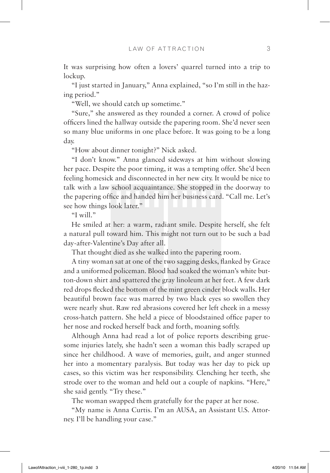It was surprising how often a lovers' quarrel turned into a trip to lockup.

"I just started in January," Anna explained, "so I'm still in the hazing period."

"Well, we should catch up sometime."

"Sure," she answered as they rounded a corner. A crowd of police officers lined the hallway outside the papering room. She'd never seen so many blue uniforms in one place before. It was going to be a long day.

"How about dinner tonight?" Nick asked.

"I don't know." Anna glanced sideways at him without slowing her pace. Despite the poor timing, it was a tempting offer. She'd been feeling homesick and disconnected in her new city. It would be nice to talk with a law school acquaintance. She stopped in the doorway to the papering office and handed him her business card. "Call me. Let's see how things look later."

"I will."

He smiled at her: a warm, radiant smile. Despite herself, she felt a natural pull toward him. This might not turn out to be such a bad day-after-Valentine's Day after all.

That thought died as she walked into the papering room.

A tiny woman sat at one of the two sagging desks, flanked by Grace and a uniformed policeman. Blood had soaked the woman's white button-down shirt and spattered the gray linoleum at her feet. A few dark red drops flecked the bottom of the mint green cinder block walls. Her beautiful brown face was marred by two black eyes so swollen they were nearly shut. Raw red abrasions covered her left cheek in a messy cross-hatch pattern. She held a piece of bloodstained office paper to her nose and rocked herself back and forth, moaning softly. and discometed in her hew eny. It<br>school acquaintance. She stopped in<br>fice and handed him her business card<br>ook later."<br>her: a warm, radiant smile. Despite<br>oward him. This might not turn out t<br>ine's Day after all.<br>clied as

Although Anna had read a lot of police reports describing gruesome injuries lately, she hadn't seen a woman this badly scraped up since her childhood. A wave of memories, guilt, and anger stunned her into a momentary paralysis. But today was her day to pick up cases, so this victim was her responsibility. Clenching her teeth, she strode over to the woman and held out a couple of napkins. "Here," she said gently. "Try these."

The woman swapped them gratefully for the paper at her nose.

"My name is Anna Curtis. I'm an AUSA, an Assistant U.S. Attorney. I'll be handling your case."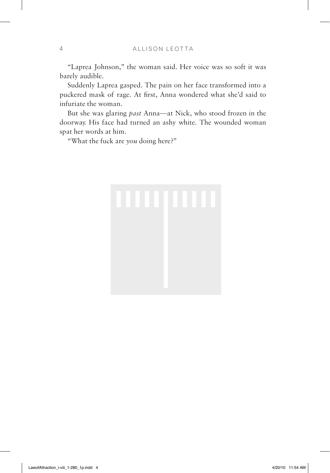"Laprea Johnson," the woman said. Her voice was so soft it was barely audible.

Suddenly Laprea gasped. The pain on her face transformed into a puckered mask of rage. At first, Anna wondered what she'd said to infuriate the woman.

But she was glaring *past* Anna—at Nick, who stood frozen in the doorway. His face had turned an ashy white. The wounded woman spat her words at him.

"What the fuck are *you* doing here?"

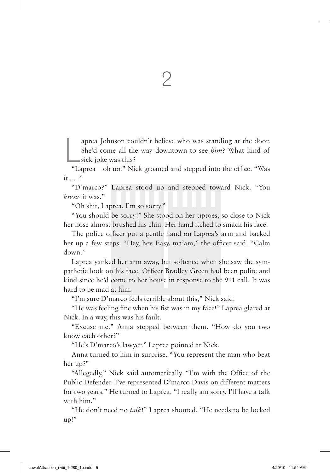$\boxed{\phantom{\Big|}}$ aprea Johnson couldn't believe who was standing at the door. She'd come all the way downtown to see *him*? What kind of sick joke was this?

"Laprea—oh no." Nick groaned and stepped into the office. "Was it  $\ldots$ "

"D'marco?" Laprea stood up and stepped toward Nick. "You *know* it was."

"Oh shit, Laprea, I'm so sorry."

"You should be sorry!" She stood on her tiptoes, so close to Nick her nose almost brushed his chin. Her hand itched to smack his face.

The police officer put a gentle hand on Laprea's arm and backed her up a few steps. "Hey, hey. Easy, ma'am," the officer said. "Calm down."

Laprea yanked her arm away, but softened when she saw the sympathetic look on his face. Officer Bradley Green had been polite and kind since he'd come to her house in response to the 911 call. It was hard to be mad at him. Laprea stood up and stepped tow.<br>
orea, I'm so sorry."<br>
be sorry!" She stood on her tiptoes,<br>
brushed his chin. Her hand itched to<br>
fficer put a gentle hand on Laprea's<br>
eps. "Hey, hey. Easy, ma'am," the off<br>
d her arm awa

"I'm sure D'marco feels terrible about this," Nick said.

"He was feeling fine when his fist was in my face!" Laprea glared at Nick. In a way, this was his fault.

"Excuse me." Anna stepped between them. "How do you two know each other?"

"He's D'marco's lawyer." Laprea pointed at Nick.

Anna turned to him in surprise. "You represent the man who beat her up?"

"Allegedly," Nick said automatically. "I'm with the Office of the Public Defender. I've represented D'marco Davis on different matters for two years." He turned to Laprea. "I really am sorry. I'll have a talk with him."

"He don't need no *talk*!" Laprea shouted. "He needs to be locked up!"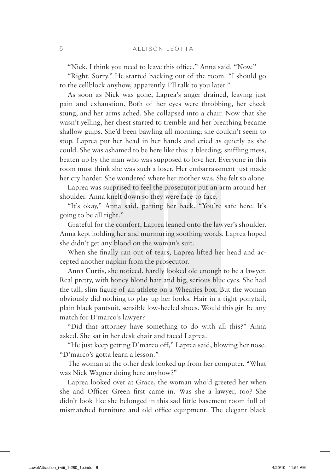"Nick, I think you need to leave this office." Anna said. "Now."

"Right. Sorry." He started backing out of the room. "I should go to the cellblock anyhow, apparently. I'll talk to you later."

As soon as Nick was gone, Laprea's anger drained, leaving just pain and exhaustion. Both of her eyes were throbbing, her cheek stung, and her arms ached. She collapsed into a chair. Now that she wasn't yelling, her chest started to tremble and her breathing became shallow gulps. She'd been bawling all morning; she couldn't seem to stop. Laprea put her head in her hands and cried as quietly as she could. She was ashamed to be here like this: a bleeding, sniffling mess, beaten up by the man who was supposed to love her. Everyone in this room must think she was such a loser. Her embarrassment just made her cry harder. She wondered where her mother was. She felt so alone.

Laprea was surprised to feel the prosecutor put an arm around her shoulder. Anna knelt down so they were face-to-face.

"It's okay," Anna said, patting her back. "You're safe here. It's going to be all right."

Grateful for the comfort, Laprea leaned onto the lawyer's shoulder. Anna kept holding her and murmuring soothing words. Laprea hoped she didn't get any blood on the woman's suit.

When she finally ran out of tears, Laprea lifted her head and accepted another napkin from the prosecutor.

Anna Curtis, she noticed, hardly looked old enough to be a lawyer. Real pretty, with honey blond hair and big, serious blue eyes. She had the tall, slim figure of an athlete on a Wheaties box. But the woman obviously did nothing to play up her looks. Hair in a tight ponytail, plain black pantsuit, sensible low-heeled shoes. Would this girl be any match for D'marco's lawyer? re wondered where her mother was. Sumprised to feel the prosecutor put an a nelt down so they were face-to-face.<br>Inna said, patting her back. "You're sht."<br>Le comfort, Laprea leaned onto the law<br>g her and murmuring soothin

"Did that attorney have something to do with all this?" Anna asked. She sat in her desk chair and faced Laprea.

"He just keep getting D'marco off," Laprea said, blowing her nose. "D'marco's gotta learn a lesson."

The woman at the other desk looked up from her computer. "What was Nick Wagner doing here anyhow?"

Laprea looked over at Grace, the woman who'd greeted her when she and Officer Green first came in. Was she a lawyer, too? She didn't look like she belonged in this sad little basement room full of mismatched furniture and old office equipment. The elegant black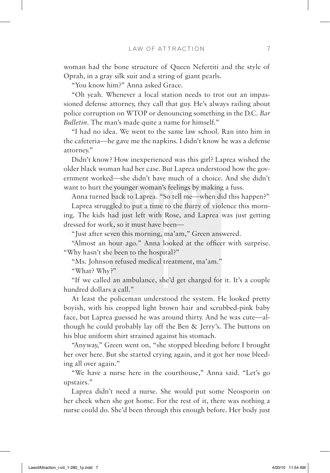woman had the bone structure of Queen Nefertiti and the style of Oprah, in a gray silk suit and a string of giant pearls.

"You know him?" Anna asked Grace.

"Oh yeah. Whenever a local station needs to trot out an impassioned defense attorney, they call that guy. He's always railing about police corruption on WTOP or denouncing something in the D.C. *Bar Bulletin.* The man's made quite a name for himself."

"I had no idea. We went to the same law school. Ran into him in the cafeteria—he gave me the napkins. I didn't know he was a defense attorney."

Didn't know? How inexperienced was this girl? Laprea wished the older black woman had her case. But Laprea understood how the government worked—she didn't have much of a choice. And she didn't want to hurt the younger woman's feelings by making a fuss.

Anna turned back to Laprea. "So tell me—when did this happen?"

Laprea struggled to put a time to the flurry of violence this morning. The kids had just left with Rose, and Laprea was just getting dressed for work, so it must have been a sine didn't have indefited by making<br>
by making<br>
back to Laprea. "So tell me—when d<br>
gled to put a time to the flurry of vio<br>
ad just left with Rose, and Laprea<br>
c, so it must have been—<br>
wen this morning, ma'am," Green

"Just after seven this morning, ma'am," Green answered.

"Almost an hour ago." Anna looked at the officer with surprise. "Why hasn't she been to the hospital?"

"Ms. Johnson refused medical treatment, ma'am."

"What? Why?"

"If we called an ambulance, she'd get charged for it. It's a couple hundred dollars a call."

At least the policeman understood the system. He looked pretty boyish, with his cropped light brown hair and scrubbed-pink baby face, but Laprea guessed he was around thirty. And he was cute—although he could probably lay off the Ben & Jerry's. The buttons on his blue uniform shirt strained against his stomach.

"Anyway," Green went on, "she stopped bleeding before I brought her over here. But she started crying again, and it got her nose bleeding all over again."

"We have a nurse here in the courthouse," Anna said. "Let's go upstairs."

Laprea didn't need a nurse. She would put some Neosporin on her cheek when she got home. For the rest of it, there was nothing a nurse could do. She'd been through this enough before. Her body just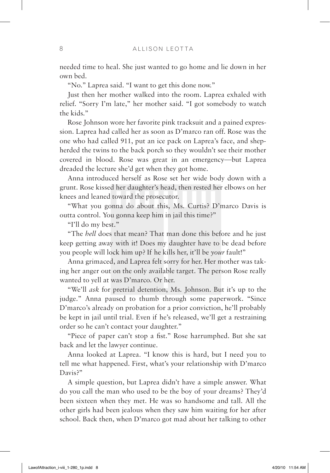needed time to heal. She just wanted to go home and lie down in her own bed.

"No." Laprea said. "I want to get this done now."

Just then her mother walked into the room. Laprea exhaled with relief. "Sorry I'm late," her mother said. "I got somebody to watch the kids."

Rose Johnson wore her favorite pink tracksuit and a pained expression. Laprea had called her as soon as D'marco ran off. Rose was the one who had called 911, put an ice pack on Laprea's face, and shepherded the twins to the back porch so they wouldn't see their mother covered in blood. Rose was great in an emergency—but Laprea dreaded the lecture she'd get when they got home.

Anna introduced herself as Rose set her wide body down with a grunt. Rose kissed her daughter's head, then rested her elbows on her knees and leaned toward the prosecutor.

"What you gonna do about this, Ms. Curtis? D'marco Davis is outta control. You gonna keep him in jail this time?"

"I'll do my best."

"The *hell* does that mean? That man done this before and he just keep getting away with it! Does my daughter have to be dead before you people will lock him up? If he kills her, it'll be *your* fault!"

Anna grimaced, and Laprea felt sorry for her. Her mother was taking her anger out on the only available target. The person Rose really wanted to yell at was D'marco. Or her.

"We'll *ask* for pretrial detention, Ms. Johnson. But it's up to the judge." Anna paused to thumb through some paperwork. "Since D'marco's already on probation for a prior conviction, he'll probably be kept in jail until trial. Even if he's released, we'll get a restraining order so he can't contact your daughter." dear arisen as Rose set her what bodd<br>d her daughter's head, then rested her<br>toward the prosecutor.<br>nma do about this, Ms. Curtis? D'i<br>u gonna keep him in jail this time?"<br>it."<br>that mean? That man done this bef<br>y with it!

"Piece of paper can't stop a fist." Rose harrumphed. But she sat back and let the lawyer continue.

Anna looked at Laprea. "I know this is hard, but I need you to tell me what happened. First, what's your relationship with D'marco Davis?"

A simple question, but Laprea didn't have a simple answer. What do you call the man who used to be the boy of your dreams? They'd been sixteen when they met. He was so handsome and tall. All the other girls had been jealous when they saw him waiting for her after school. Back then, when D'marco got mad about her talking to other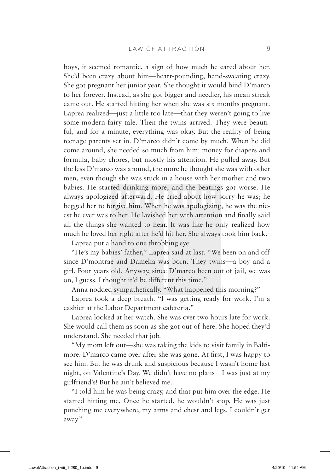boys, it seemed romantic, a sign of how much he cared about her. She'd been crazy about him—heart-pounding, hand-sweating crazy. She got pregnant her junior year. She thought it would bind D'marco to her forever. Instead, as she got bigger and needier, his mean streak came out. He started hitting her when she was six months pregnant. Laprea realized—just a little too late—that they weren't going to live some modern fairy tale. Then the twins arrived. They were beautiful, and for a minute, everything was okay. But the reality of being teenage parents set in. D'marco didn't come by much. When he did come around, she needed so much from him: money for diapers and formula, baby chores, but mostly his attention. He pulled away. But the less D'marco was around, the more he thought she was with other men, even though she was stuck in a house with her mother and two babies. He started drinking more, and the beatings got worse. He always apologized afterward. He cried about how sorry he was; he begged her to forgive him. When he was apologizing, he was the nicest he ever was to her. He lavished her with attention and finally said all the things she wanted to hear. It was like he only realized how much he loved her right after he'd hit her. She always took him back. ted drinking more, and the beatings<br>ted drinking more, and the beatings<br>ted afterward. He cried about how s<br>prgive him. When he was apologizing<br>to her. He lavished her with attention<br>he wanted to hear. It was like he or<br>er

Laprea put a hand to one throbbing eye.

"He's my babies' father," Laprea said at last. "We been on and off since D'montrae and Dameka was born. They twins—a boy and a girl. Four years old. Anyway, since D'marco been out of jail, we was on, I guess. I thought it'd be different this time."

Anna nodded sympathetically. "What happened this morning?"

Laprea took a deep breath. "I was getting ready for work. I'm a cashier at the Labor Department cafeteria."

Laprea looked at her watch. She was over two hours late for work. She would call them as soon as she got out of here. She hoped they'd understand. She needed that job.

"My mom left out—she was taking the kids to visit family in Baltimore. D'marco came over after she was gone. At first, I was happy to see him. But he was drunk and suspicious because I wasn't home last night, on Valentine's Day. We didn't have no plans—I was just at my girlfriend's! But he ain't believed me.

"I told him he was being crazy, and that put him over the edge. He started hitting me. Once he started, he wouldn't stop. He was just punching me everywhere, my arms and chest and legs. I couldn't get away."